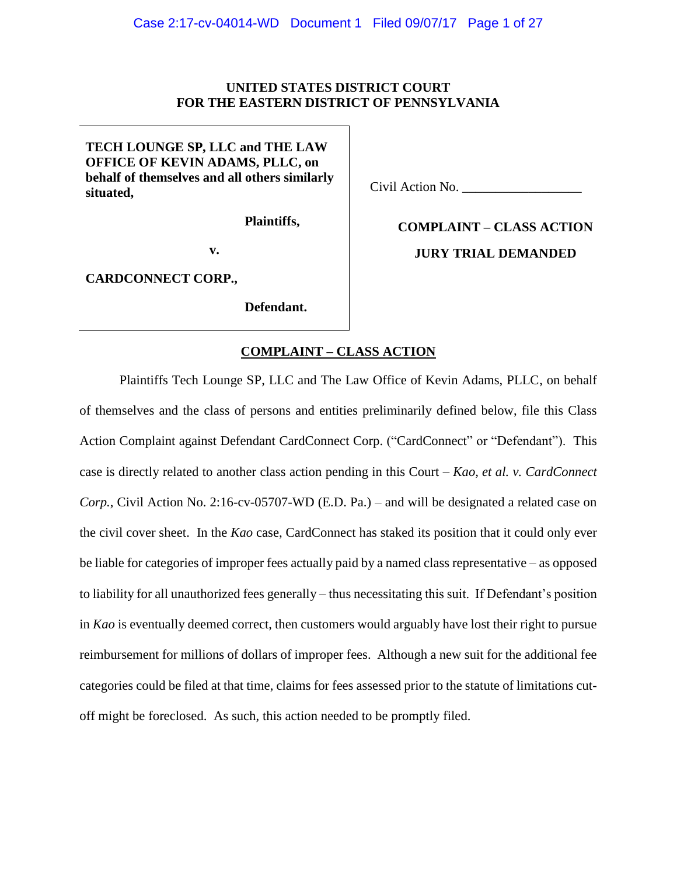## **UNITED STATES DISTRICT COURT FOR THE EASTERN DISTRICT OF PENNSYLVANIA**

**TECH LOUNGE SP, LLC and THE LAW OFFICE OF KEVIN ADAMS, PLLC, on behalf of themselves and all others similarly situated,** 

**Plaintiffs,**

**v.**

**CARDCONNECT CORP.,**

**Defendant.**

Civil Action No.

**COMPLAINT – CLASS ACTION JURY TRIAL DEMANDED**

## **COMPLAINT – CLASS ACTION**

Plaintiffs Tech Lounge SP, LLC and The Law Office of Kevin Adams, PLLC, on behalf of themselves and the class of persons and entities preliminarily defined below, file this Class Action Complaint against Defendant CardConnect Corp. ("CardConnect" or "Defendant"). This case is directly related to another class action pending in this Court – *Kao, et al. v. CardConnect Corp.*, Civil Action No. 2:16-cv-05707-WD (E.D. Pa.) – and will be designated a related case on the civil cover sheet. In the *Kao* case, CardConnect has staked its position that it could only ever be liable for categories of improper fees actually paid by a named class representative – as opposed to liability for all unauthorized fees generally – thus necessitating this suit. If Defendant's position in *Kao* is eventually deemed correct, then customers would arguably have lost their right to pursue reimbursement for millions of dollars of improper fees. Although a new suit for the additional fee categories could be filed at that time, claims for fees assessed prior to the statute of limitations cutoff might be foreclosed. As such, this action needed to be promptly filed.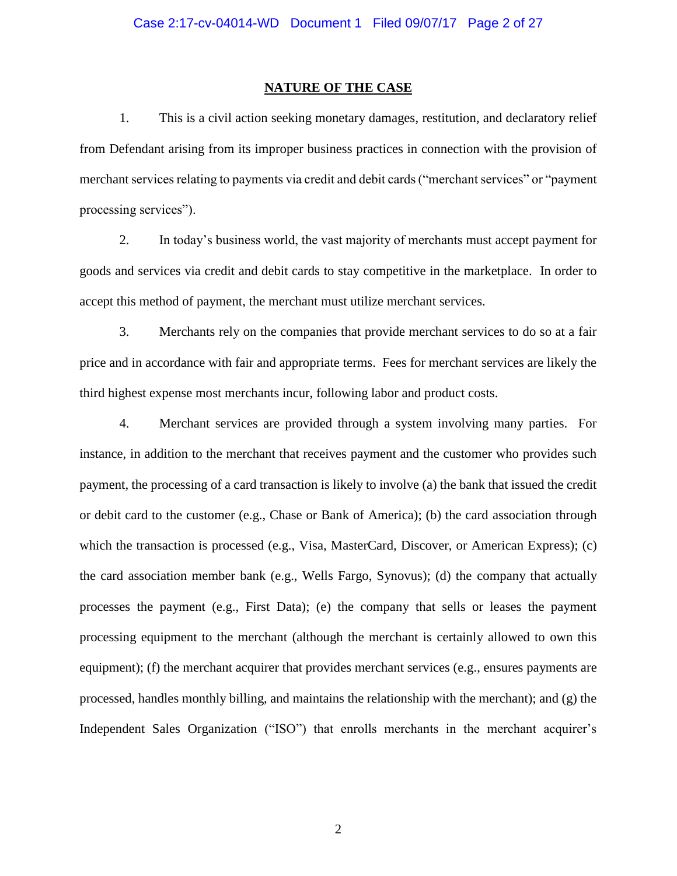## **NATURE OF THE CASE**

1. This is a civil action seeking monetary damages, restitution, and declaratory relief from Defendant arising from its improper business practices in connection with the provision of merchant services relating to payments via credit and debit cards ("merchant services" or "payment processing services").

2. In today's business world, the vast majority of merchants must accept payment for goods and services via credit and debit cards to stay competitive in the marketplace. In order to accept this method of payment, the merchant must utilize merchant services.

3. Merchants rely on the companies that provide merchant services to do so at a fair price and in accordance with fair and appropriate terms. Fees for merchant services are likely the third highest expense most merchants incur, following labor and product costs.

4. Merchant services are provided through a system involving many parties. For instance, in addition to the merchant that receives payment and the customer who provides such payment, the processing of a card transaction is likely to involve (a) the bank that issued the credit or debit card to the customer (e.g., Chase or Bank of America); (b) the card association through which the transaction is processed (e.g., Visa, MasterCard, Discover, or American Express); (c) the card association member bank (e.g., Wells Fargo, Synovus); (d) the company that actually processes the payment (e.g., First Data); (e) the company that sells or leases the payment processing equipment to the merchant (although the merchant is certainly allowed to own this equipment); (f) the merchant acquirer that provides merchant services (e.g., ensures payments are processed, handles monthly billing, and maintains the relationship with the merchant); and (g) the Independent Sales Organization ("ISO") that enrolls merchants in the merchant acquirer's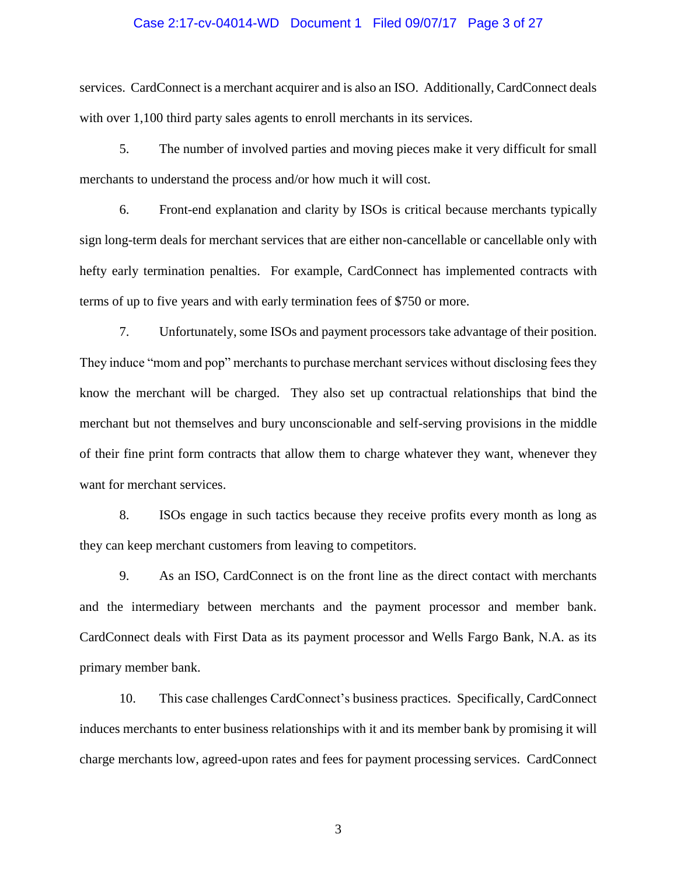## Case 2:17-cv-04014-WD Document 1 Filed 09/07/17 Page 3 of 27

services. CardConnect is a merchant acquirer and is also an ISO. Additionally, CardConnect deals with over 1,100 third party sales agents to enroll merchants in its services.

5. The number of involved parties and moving pieces make it very difficult for small merchants to understand the process and/or how much it will cost.

6. Front-end explanation and clarity by ISOs is critical because merchants typically sign long-term deals for merchant services that are either non-cancellable or cancellable only with hefty early termination penalties. For example, CardConnect has implemented contracts with terms of up to five years and with early termination fees of \$750 or more.

7. Unfortunately, some ISOs and payment processors take advantage of their position. They induce "mom and pop" merchants to purchase merchant services without disclosing fees they know the merchant will be charged. They also set up contractual relationships that bind the merchant but not themselves and bury unconscionable and self-serving provisions in the middle of their fine print form contracts that allow them to charge whatever they want, whenever they want for merchant services.

8. ISOs engage in such tactics because they receive profits every month as long as they can keep merchant customers from leaving to competitors.

9. As an ISO, CardConnect is on the front line as the direct contact with merchants and the intermediary between merchants and the payment processor and member bank. CardConnect deals with First Data as its payment processor and Wells Fargo Bank, N.A. as its primary member bank.

10. This case challenges CardConnect's business practices. Specifically, CardConnect induces merchants to enter business relationships with it and its member bank by promising it will charge merchants low, agreed-upon rates and fees for payment processing services. CardConnect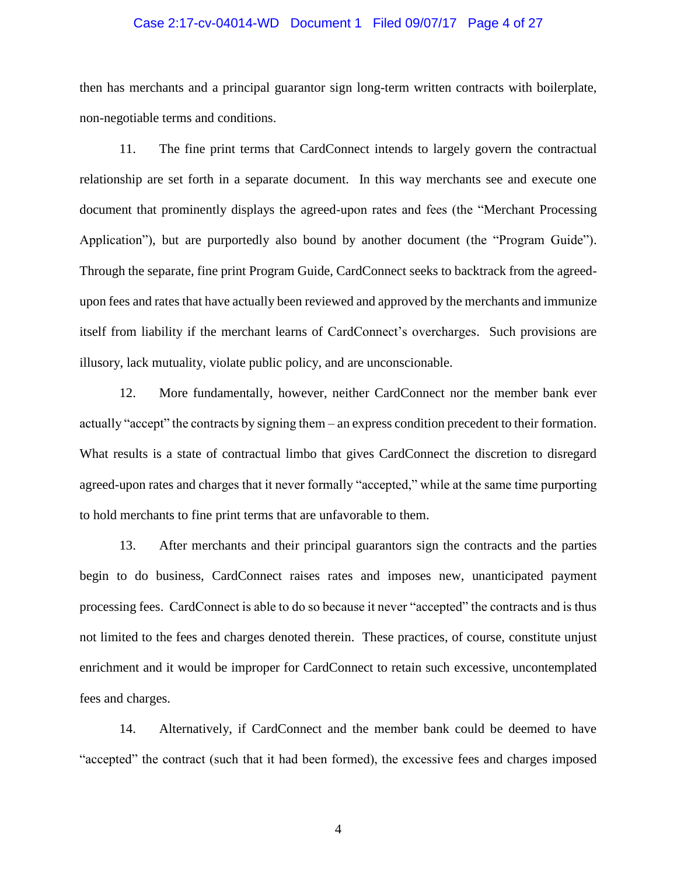### Case 2:17-cv-04014-WD Document 1 Filed 09/07/17 Page 4 of 27

then has merchants and a principal guarantor sign long-term written contracts with boilerplate, non-negotiable terms and conditions.

11. The fine print terms that CardConnect intends to largely govern the contractual relationship are set forth in a separate document. In this way merchants see and execute one document that prominently displays the agreed-upon rates and fees (the "Merchant Processing Application"), but are purportedly also bound by another document (the "Program Guide"). Through the separate, fine print Program Guide, CardConnect seeks to backtrack from the agreedupon fees and rates that have actually been reviewed and approved by the merchants and immunize itself from liability if the merchant learns of CardConnect's overcharges. Such provisions are illusory, lack mutuality, violate public policy, and are unconscionable.

12. More fundamentally, however, neither CardConnect nor the member bank ever actually "accept" the contracts by signing them – an express condition precedent to their formation. What results is a state of contractual limbo that gives CardConnect the discretion to disregard agreed-upon rates and charges that it never formally "accepted," while at the same time purporting to hold merchants to fine print terms that are unfavorable to them.

13. After merchants and their principal guarantors sign the contracts and the parties begin to do business, CardConnect raises rates and imposes new, unanticipated payment processing fees. CardConnect is able to do so because it never "accepted" the contracts and is thus not limited to the fees and charges denoted therein. These practices, of course, constitute unjust enrichment and it would be improper for CardConnect to retain such excessive, uncontemplated fees and charges.

14. Alternatively, if CardConnect and the member bank could be deemed to have "accepted" the contract (such that it had been formed), the excessive fees and charges imposed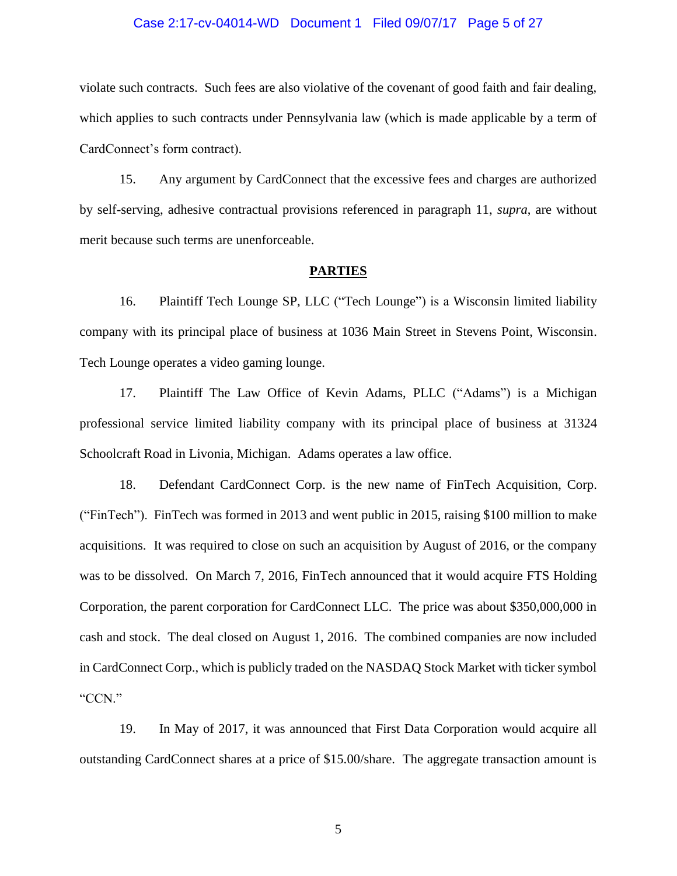## Case 2:17-cv-04014-WD Document 1 Filed 09/07/17 Page 5 of 27

violate such contracts. Such fees are also violative of the covenant of good faith and fair dealing, which applies to such contracts under Pennsylvania law (which is made applicable by a term of CardConnect's form contract).

15. Any argument by CardConnect that the excessive fees and charges are authorized by self-serving, adhesive contractual provisions referenced in paragraph 11, *supra*, are without merit because such terms are unenforceable.

#### **PARTIES**

16. Plaintiff Tech Lounge SP, LLC ("Tech Lounge") is a Wisconsin limited liability company with its principal place of business at 1036 Main Street in Stevens Point, Wisconsin. Tech Lounge operates a video gaming lounge.

17. Plaintiff The Law Office of Kevin Adams, PLLC ("Adams") is a Michigan professional service limited liability company with its principal place of business at 31324 Schoolcraft Road in Livonia, Michigan. Adams operates a law office.

18. Defendant CardConnect Corp. is the new name of FinTech Acquisition, Corp. ("FinTech"). FinTech was formed in 2013 and went public in 2015, raising \$100 million to make acquisitions. It was required to close on such an acquisition by August of 2016, or the company was to be dissolved. On March 7, 2016, FinTech announced that it would acquire FTS Holding Corporation, the parent corporation for CardConnect LLC. The price was about \$350,000,000 in cash and stock. The deal closed on August 1, 2016. The combined companies are now included in CardConnect Corp., which is publicly traded on the NASDAQ Stock Market with ticker symbol "CCN."

19. In May of 2017, it was announced that First Data Corporation would acquire all outstanding CardConnect shares at a price of \$15.00/share. The aggregate transaction amount is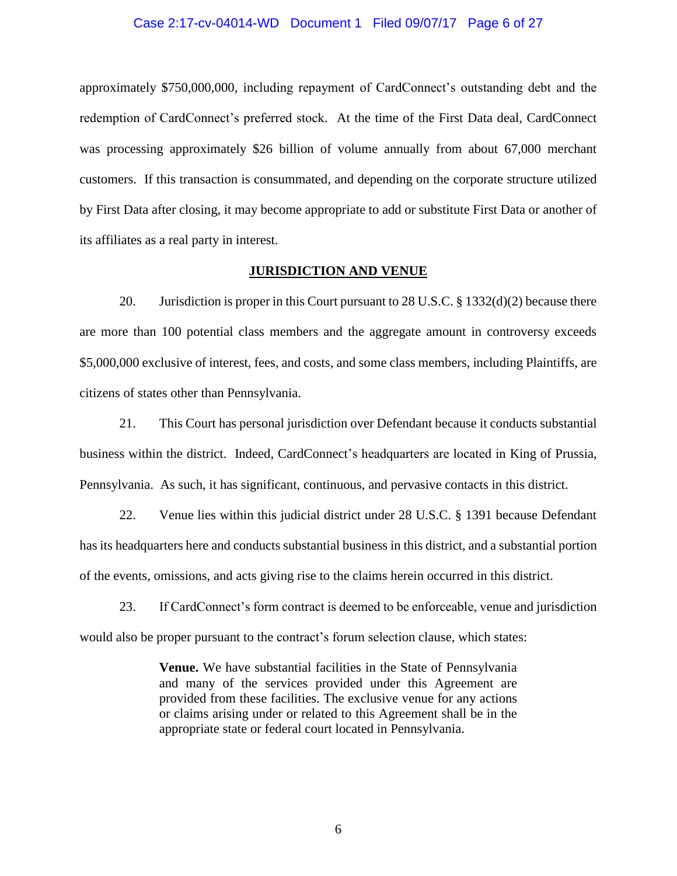### Case 2:17-cv-04014-WD Document 1 Filed 09/07/17 Page 6 of 27

approximately \$750,000,000, including repayment of CardConnect's outstanding debt and the redemption of CardConnect's preferred stock. At the time of the First Data deal, CardConnect was processing approximately \$26 billion of volume annually from about 67,000 merchant customers. If this transaction is consummated, and depending on the corporate structure utilized by First Data after closing, it may become appropriate to add or substitute First Data or another of its affiliates as a real party in interest.

## **JURISDICTION AND VENUE**

20. Jurisdiction is proper in this Court pursuant to 28 U.S.C. § 1332(d)(2) because there are more than 100 potential class members and the aggregate amount in controversy exceeds \$5,000,000 exclusive of interest, fees, and costs, and some class members, including Plaintiffs, are citizens of states other than Pennsylvania.

21. This Court has personal jurisdiction over Defendant because it conducts substantial business within the district. Indeed, CardConnect's headquarters are located in King of Prussia, Pennsylvania. As such, it has significant, continuous, and pervasive contacts in this district.

22. Venue lies within this judicial district under 28 U.S.C. § 1391 because Defendant has its headquarters here and conducts substantial business in this district, and a substantial portion of the events, omissions, and acts giving rise to the claims herein occurred in this district.

23. If CardConnect's form contract is deemed to be enforceable, venue and jurisdiction would also be proper pursuant to the contract's forum selection clause, which states:

> **Venue.** We have substantial facilities in the State of Pennsylvania and many of the services provided under this Agreement are provided from these facilities. The exclusive venue for any actions or claims arising under or related to this Agreement shall be in the appropriate state or federal court located in Pennsylvania.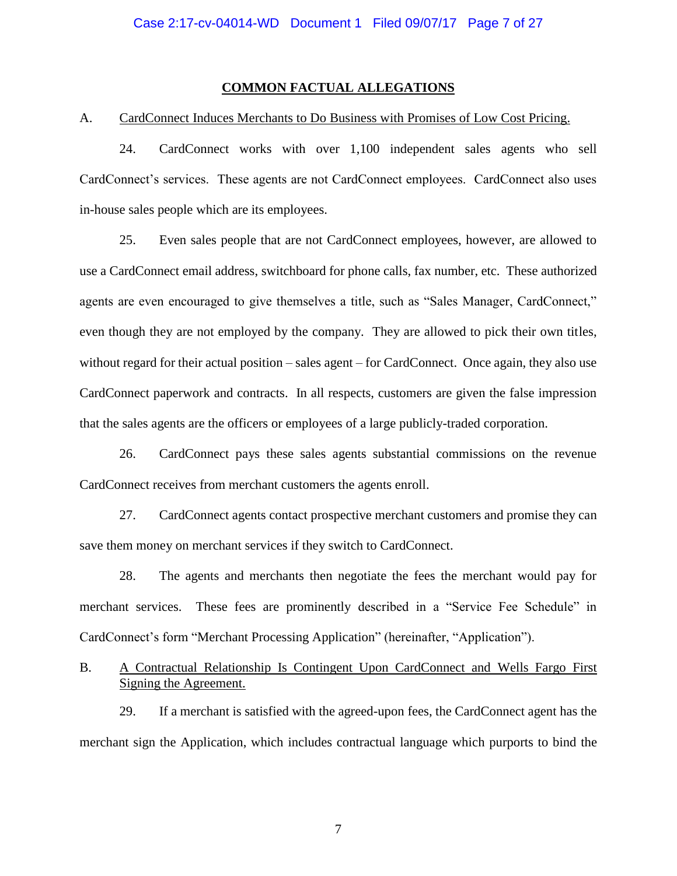## **COMMON FACTUAL ALLEGATIONS**

## A. CardConnect Induces Merchants to Do Business with Promises of Low Cost Pricing.

24. CardConnect works with over 1,100 independent sales agents who sell CardConnect's services. These agents are not CardConnect employees. CardConnect also uses in-house sales people which are its employees.

25. Even sales people that are not CardConnect employees, however, are allowed to use a CardConnect email address, switchboard for phone calls, fax number, etc. These authorized agents are even encouraged to give themselves a title, such as "Sales Manager, CardConnect," even though they are not employed by the company. They are allowed to pick their own titles, without regard for their actual position – sales agent – for CardConnect. Once again, they also use CardConnect paperwork and contracts. In all respects, customers are given the false impression that the sales agents are the officers or employees of a large publicly-traded corporation.

26. CardConnect pays these sales agents substantial commissions on the revenue CardConnect receives from merchant customers the agents enroll.

27. CardConnect agents contact prospective merchant customers and promise they can save them money on merchant services if they switch to CardConnect.

28. The agents and merchants then negotiate the fees the merchant would pay for merchant services. These fees are prominently described in a "Service Fee Schedule" in CardConnect's form "Merchant Processing Application" (hereinafter, "Application").

# B. A Contractual Relationship Is Contingent Upon CardConnect and Wells Fargo First Signing the Agreement.

29. If a merchant is satisfied with the agreed-upon fees, the CardConnect agent has the merchant sign the Application, which includes contractual language which purports to bind the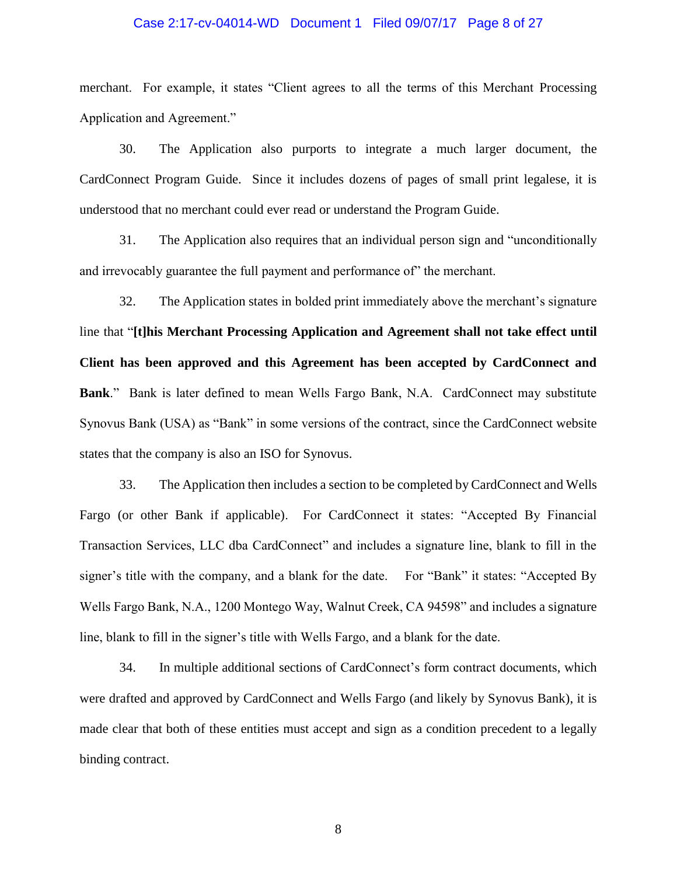### Case 2:17-cv-04014-WD Document 1 Filed 09/07/17 Page 8 of 27

merchant. For example, it states "Client agrees to all the terms of this Merchant Processing Application and Agreement."

30. The Application also purports to integrate a much larger document, the CardConnect Program Guide. Since it includes dozens of pages of small print legalese, it is understood that no merchant could ever read or understand the Program Guide.

31. The Application also requires that an individual person sign and "unconditionally and irrevocably guarantee the full payment and performance of" the merchant.

32. The Application states in bolded print immediately above the merchant's signature line that "**[t]his Merchant Processing Application and Agreement shall not take effect until Client has been approved and this Agreement has been accepted by CardConnect and Bank**." Bank is later defined to mean Wells Fargo Bank, N.A. CardConnect may substitute Synovus Bank (USA) as "Bank" in some versions of the contract, since the CardConnect website states that the company is also an ISO for Synovus.

33. The Application then includes a section to be completed by CardConnect and Wells Fargo (or other Bank if applicable). For CardConnect it states: "Accepted By Financial Transaction Services, LLC dba CardConnect" and includes a signature line, blank to fill in the signer's title with the company, and a blank for the date. For "Bank" it states: "Accepted By Wells Fargo Bank, N.A., 1200 Montego Way, Walnut Creek, CA 94598" and includes a signature line, blank to fill in the signer's title with Wells Fargo, and a blank for the date.

34. In multiple additional sections of CardConnect's form contract documents, which were drafted and approved by CardConnect and Wells Fargo (and likely by Synovus Bank), it is made clear that both of these entities must accept and sign as a condition precedent to a legally binding contract.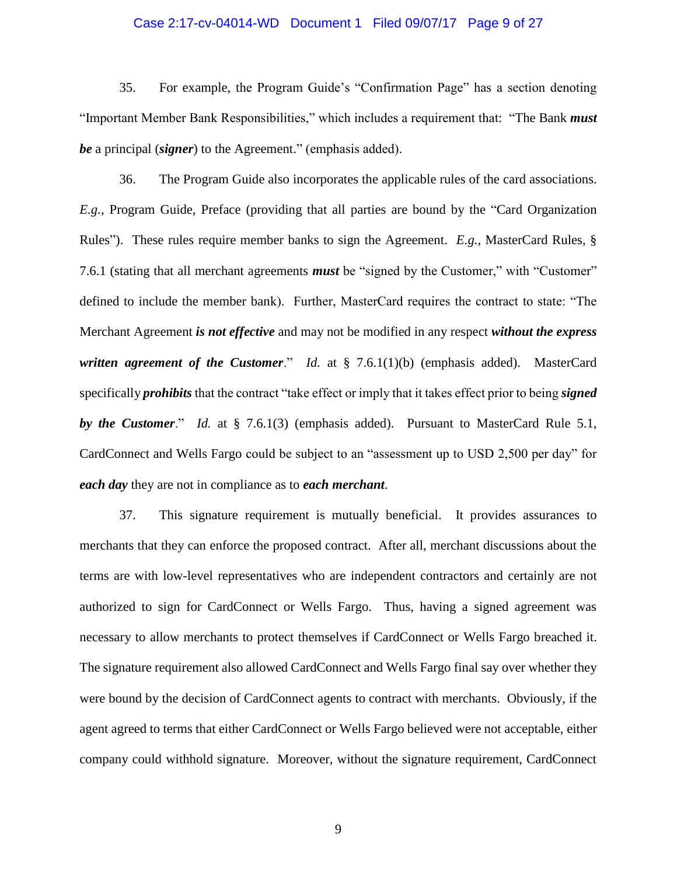## Case 2:17-cv-04014-WD Document 1 Filed 09/07/17 Page 9 of 27

35. For example, the Program Guide's "Confirmation Page" has a section denoting "Important Member Bank Responsibilities," which includes a requirement that: "The Bank *must be* a principal (*signer*) to the Agreement." (emphasis added).

36. The Program Guide also incorporates the applicable rules of the card associations. *E.g.,* Program Guide, Preface (providing that all parties are bound by the "Card Organization Rules"). These rules require member banks to sign the Agreement. *E.g.*, MasterCard Rules, § 7.6.1 (stating that all merchant agreements *must* be "signed by the Customer," with "Customer" defined to include the member bank). Further, MasterCard requires the contract to state: "The Merchant Agreement *is not effective* and may not be modified in any respect *without the express written agreement of the Customer*." *Id.* at § 7.6.1(1)(b) (emphasis added). MasterCard specifically *prohibits* that the contract "take effect or imply that it takes effect prior to being *signed by the Customer*." *Id.* at § 7.6.1(3) (emphasis added). Pursuant to MasterCard Rule 5.1, CardConnect and Wells Fargo could be subject to an "assessment up to USD 2,500 per day" for *each day* they are not in compliance as to *each merchant*.

37. This signature requirement is mutually beneficial. It provides assurances to merchants that they can enforce the proposed contract. After all, merchant discussions about the terms are with low-level representatives who are independent contractors and certainly are not authorized to sign for CardConnect or Wells Fargo. Thus, having a signed agreement was necessary to allow merchants to protect themselves if CardConnect or Wells Fargo breached it. The signature requirement also allowed CardConnect and Wells Fargo final say over whether they were bound by the decision of CardConnect agents to contract with merchants. Obviously, if the agent agreed to terms that either CardConnect or Wells Fargo believed were not acceptable, either company could withhold signature. Moreover, without the signature requirement, CardConnect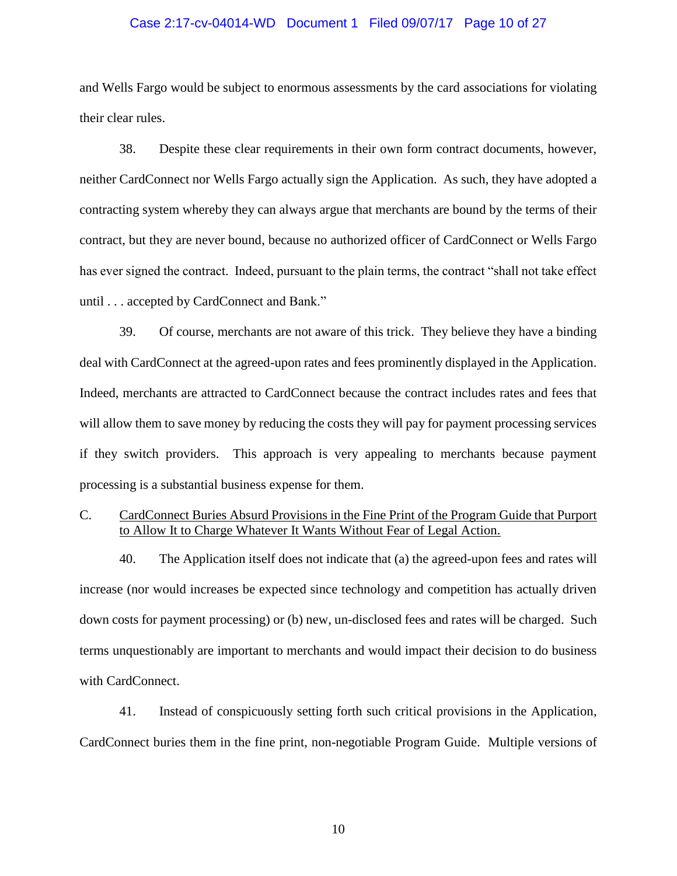## Case 2:17-cv-04014-WD Document 1 Filed 09/07/17 Page 10 of 27

and Wells Fargo would be subject to enormous assessments by the card associations for violating their clear rules.

38. Despite these clear requirements in their own form contract documents, however, neither CardConnect nor Wells Fargo actually sign the Application. As such, they have adopted a contracting system whereby they can always argue that merchants are bound by the terms of their contract, but they are never bound, because no authorized officer of CardConnect or Wells Fargo has ever signed the contract. Indeed, pursuant to the plain terms, the contract "shall not take effect until . . . accepted by CardConnect and Bank."

39. Of course, merchants are not aware of this trick. They believe they have a binding deal with CardConnect at the agreed-upon rates and fees prominently displayed in the Application. Indeed, merchants are attracted to CardConnect because the contract includes rates and fees that will allow them to save money by reducing the costs they will pay for payment processing services if they switch providers. This approach is very appealing to merchants because payment processing is a substantial business expense for them.

# C. CardConnect Buries Absurd Provisions in the Fine Print of the Program Guide that Purport to Allow It to Charge Whatever It Wants Without Fear of Legal Action.

40. The Application itself does not indicate that (a) the agreed-upon fees and rates will increase (nor would increases be expected since technology and competition has actually driven down costs for payment processing) or (b) new, un-disclosed fees and rates will be charged. Such terms unquestionably are important to merchants and would impact their decision to do business with CardConnect.

41. Instead of conspicuously setting forth such critical provisions in the Application, CardConnect buries them in the fine print, non-negotiable Program Guide. Multiple versions of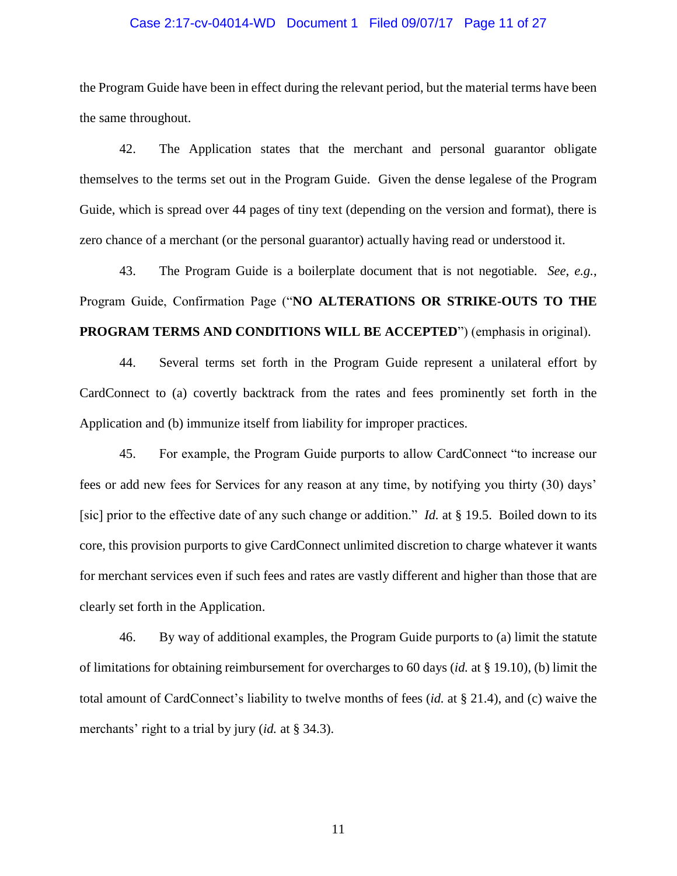## Case 2:17-cv-04014-WD Document 1 Filed 09/07/17 Page 11 of 27

the Program Guide have been in effect during the relevant period, but the material terms have been the same throughout.

42. The Application states that the merchant and personal guarantor obligate themselves to the terms set out in the Program Guide. Given the dense legalese of the Program Guide, which is spread over 44 pages of tiny text (depending on the version and format), there is zero chance of a merchant (or the personal guarantor) actually having read or understood it.

43. The Program Guide is a boilerplate document that is not negotiable. *See*, *e.g.*, Program Guide, Confirmation Page ("**NO ALTERATIONS OR STRIKE-OUTS TO THE PROGRAM TERMS AND CONDITIONS WILL BE ACCEPTED**") (emphasis in original).

44. Several terms set forth in the Program Guide represent a unilateral effort by CardConnect to (a) covertly backtrack from the rates and fees prominently set forth in the Application and (b) immunize itself from liability for improper practices.

45. For example, the Program Guide purports to allow CardConnect "to increase our fees or add new fees for Services for any reason at any time, by notifying you thirty (30) days' [sic] prior to the effective date of any such change or addition." *Id.* at § 19.5. Boiled down to its core, this provision purports to give CardConnect unlimited discretion to charge whatever it wants for merchant services even if such fees and rates are vastly different and higher than those that are clearly set forth in the Application.

46. By way of additional examples, the Program Guide purports to (a) limit the statute of limitations for obtaining reimbursement for overcharges to 60 days (*id.* at § 19.10), (b) limit the total amount of CardConnect's liability to twelve months of fees (*id.* at § 21.4), and (c) waive the merchants' right to a trial by jury (*id.* at § 34.3).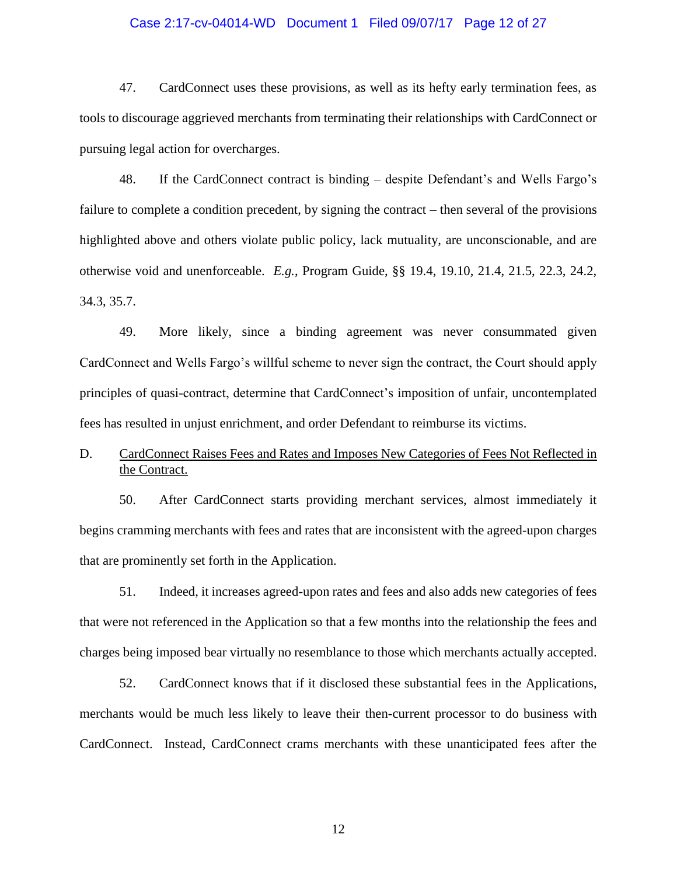## Case 2:17-cv-04014-WD Document 1 Filed 09/07/17 Page 12 of 27

47. CardConnect uses these provisions, as well as its hefty early termination fees, as tools to discourage aggrieved merchants from terminating their relationships with CardConnect or pursuing legal action for overcharges.

48. If the CardConnect contract is binding – despite Defendant's and Wells Fargo's failure to complete a condition precedent, by signing the contract – then several of the provisions highlighted above and others violate public policy, lack mutuality, are unconscionable, and are otherwise void and unenforceable. *E.g.*, Program Guide, §§ 19.4, 19.10, 21.4, 21.5, 22.3, 24.2, 34.3, 35.7.

49. More likely, since a binding agreement was never consummated given CardConnect and Wells Fargo's willful scheme to never sign the contract, the Court should apply principles of quasi-contract, determine that CardConnect's imposition of unfair, uncontemplated fees has resulted in unjust enrichment, and order Defendant to reimburse its victims.

# D. CardConnect Raises Fees and Rates and Imposes New Categories of Fees Not Reflected in the Contract.

50. After CardConnect starts providing merchant services, almost immediately it begins cramming merchants with fees and rates that are inconsistent with the agreed-upon charges that are prominently set forth in the Application.

51. Indeed, it increases agreed-upon rates and fees and also adds new categories of fees that were not referenced in the Application so that a few months into the relationship the fees and charges being imposed bear virtually no resemblance to those which merchants actually accepted.

52. CardConnect knows that if it disclosed these substantial fees in the Applications, merchants would be much less likely to leave their then-current processor to do business with CardConnect. Instead, CardConnect crams merchants with these unanticipated fees after the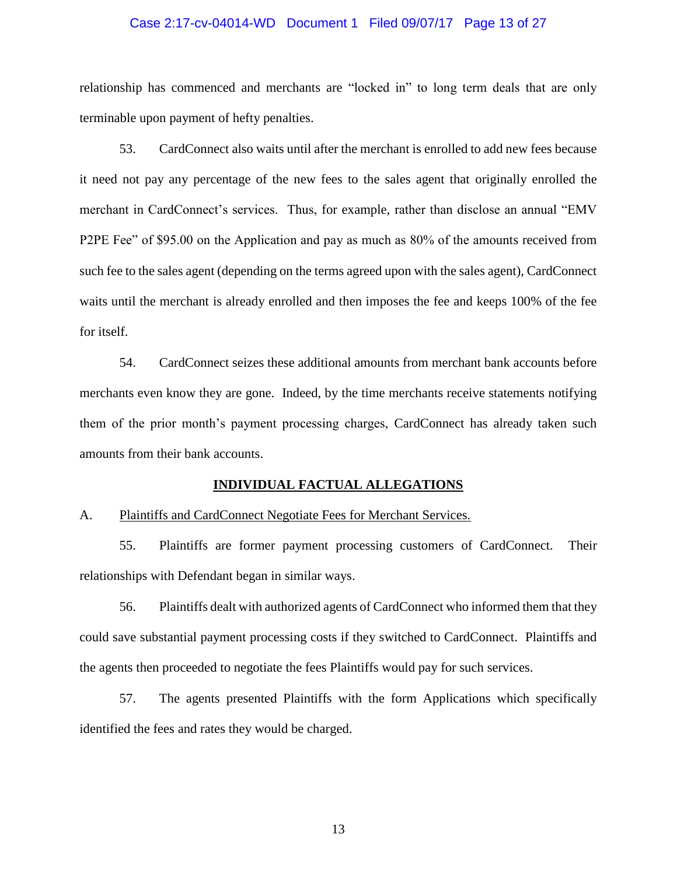### Case 2:17-cv-04014-WD Document 1 Filed 09/07/17 Page 13 of 27

relationship has commenced and merchants are "locked in" to long term deals that are only terminable upon payment of hefty penalties.

53. CardConnect also waits until after the merchant is enrolled to add new fees because it need not pay any percentage of the new fees to the sales agent that originally enrolled the merchant in CardConnect's services. Thus, for example, rather than disclose an annual "EMV P2PE Fee" of \$95.00 on the Application and pay as much as 80% of the amounts received from such fee to the sales agent (depending on the terms agreed upon with the sales agent), CardConnect waits until the merchant is already enrolled and then imposes the fee and keeps 100% of the fee for itself.

54. CardConnect seizes these additional amounts from merchant bank accounts before merchants even know they are gone. Indeed, by the time merchants receive statements notifying them of the prior month's payment processing charges, CardConnect has already taken such amounts from their bank accounts.

#### **INDIVIDUAL FACTUAL ALLEGATIONS**

#### A. Plaintiffs and CardConnect Negotiate Fees for Merchant Services.

55. Plaintiffs are former payment processing customers of CardConnect. Their relationships with Defendant began in similar ways.

56. Plaintiffs dealt with authorized agents of CardConnect who informed them that they could save substantial payment processing costs if they switched to CardConnect. Plaintiffs and the agents then proceeded to negotiate the fees Plaintiffs would pay for such services.

57. The agents presented Plaintiffs with the form Applications which specifically identified the fees and rates they would be charged.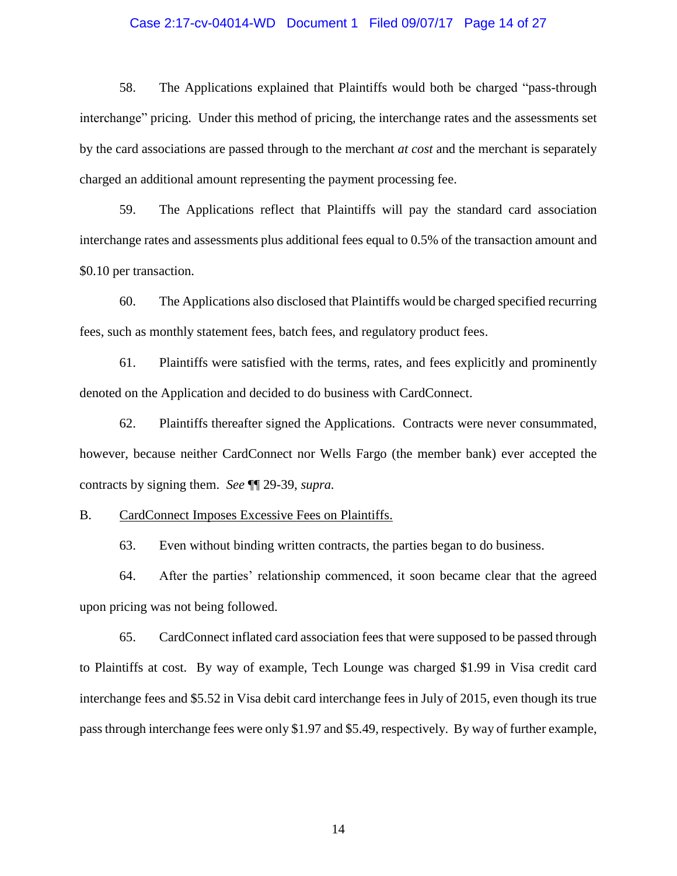## Case 2:17-cv-04014-WD Document 1 Filed 09/07/17 Page 14 of 27

58. The Applications explained that Plaintiffs would both be charged "pass-through interchange" pricing. Under this method of pricing, the interchange rates and the assessments set by the card associations are passed through to the merchant *at cost* and the merchant is separately charged an additional amount representing the payment processing fee.

59. The Applications reflect that Plaintiffs will pay the standard card association interchange rates and assessments plus additional fees equal to 0.5% of the transaction amount and \$0.10 per transaction.

60. The Applications also disclosed that Plaintiffs would be charged specified recurring fees, such as monthly statement fees, batch fees, and regulatory product fees.

61. Plaintiffs were satisfied with the terms, rates, and fees explicitly and prominently denoted on the Application and decided to do business with CardConnect.

62. Plaintiffs thereafter signed the Applications. Contracts were never consummated, however, because neither CardConnect nor Wells Fargo (the member bank) ever accepted the contracts by signing them. *See* ¶¶ 29-39, *supra.*

B. CardConnect Imposes Excessive Fees on Plaintiffs.

63. Even without binding written contracts, the parties began to do business.

64. After the parties' relationship commenced, it soon became clear that the agreed upon pricing was not being followed.

65. CardConnect inflated card association fees that were supposed to be passed through to Plaintiffs at cost. By way of example, Tech Lounge was charged \$1.99 in Visa credit card interchange fees and \$5.52 in Visa debit card interchange fees in July of 2015, even though its true pass through interchange fees were only \$1.97 and \$5.49, respectively. By way of further example,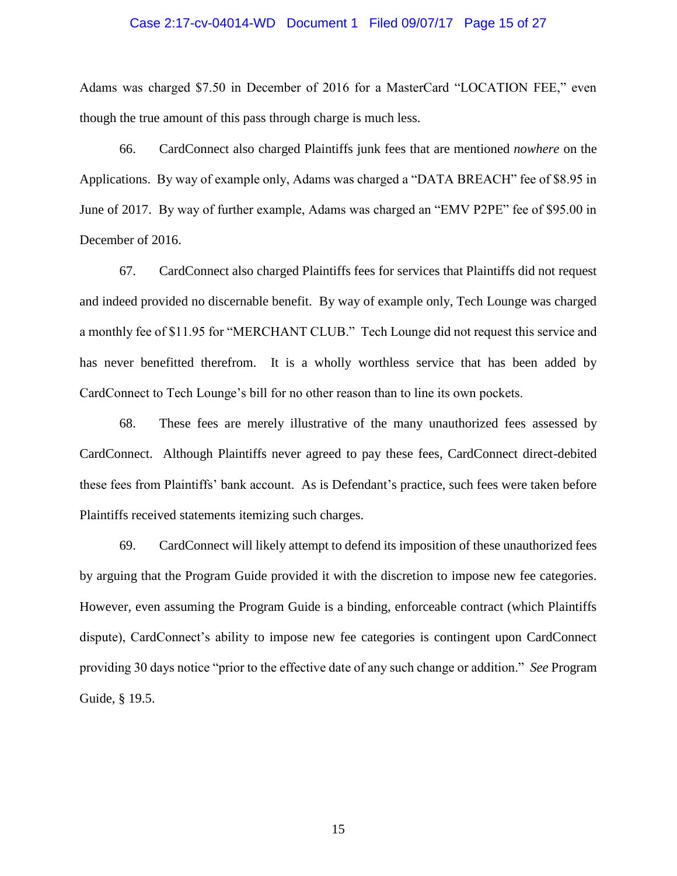#### Case 2:17-cv-04014-WD Document 1 Filed 09/07/17 Page 15 of 27

Adams was charged \$7.50 in December of 2016 for a MasterCard "LOCATION FEE," even though the true amount of this pass through charge is much less.

66. CardConnect also charged Plaintiffs junk fees that are mentioned *nowhere* on the Applications. By way of example only, Adams was charged a "DATA BREACH" fee of \$8.95 in June of 2017. By way of further example, Adams was charged an "EMV P2PE" fee of \$95.00 in December of 2016.

67. CardConnect also charged Plaintiffs fees for services that Plaintiffs did not request and indeed provided no discernable benefit. By way of example only, Tech Lounge was charged a monthly fee of \$11.95 for "MERCHANT CLUB." Tech Lounge did not request this service and has never benefitted therefrom. It is a wholly worthless service that has been added by CardConnect to Tech Lounge's bill for no other reason than to line its own pockets.

68. These fees are merely illustrative of the many unauthorized fees assessed by CardConnect. Although Plaintiffs never agreed to pay these fees, CardConnect direct-debited these fees from Plaintiffs' bank account. As is Defendant's practice, such fees were taken before Plaintiffs received statements itemizing such charges.

69. CardConnect will likely attempt to defend its imposition of these unauthorized fees by arguing that the Program Guide provided it with the discretion to impose new fee categories. However, even assuming the Program Guide is a binding, enforceable contract (which Plaintiffs dispute), CardConnect's ability to impose new fee categories is contingent upon CardConnect providing 30 days notice "prior to the effective date of any such change or addition." *See* Program Guide, § 19.5.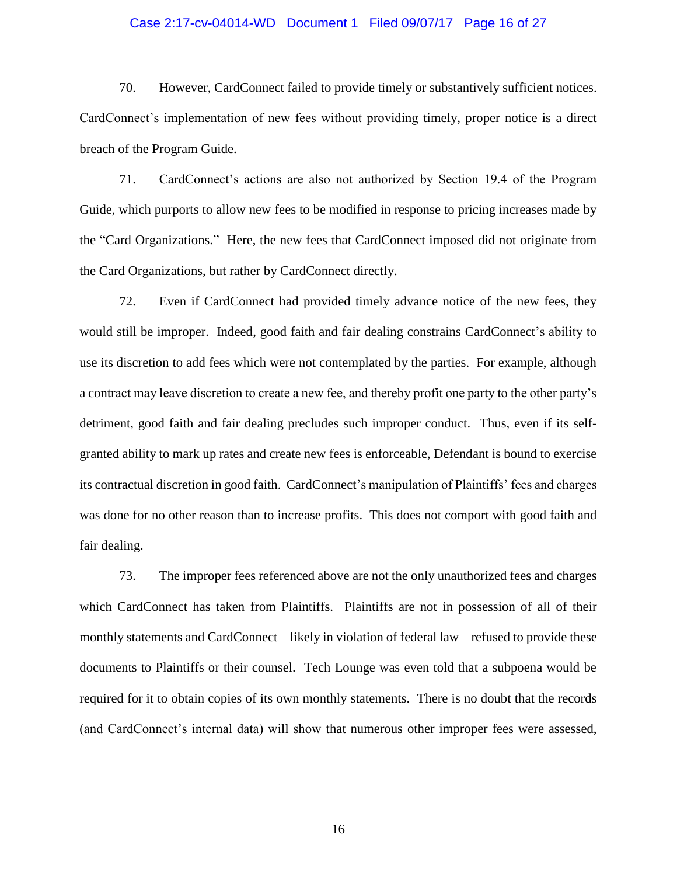#### Case 2:17-cv-04014-WD Document 1 Filed 09/07/17 Page 16 of 27

70. However, CardConnect failed to provide timely or substantively sufficient notices. CardConnect's implementation of new fees without providing timely, proper notice is a direct breach of the Program Guide.

71. CardConnect's actions are also not authorized by Section 19.4 of the Program Guide, which purports to allow new fees to be modified in response to pricing increases made by the "Card Organizations." Here, the new fees that CardConnect imposed did not originate from the Card Organizations, but rather by CardConnect directly.

72. Even if CardConnect had provided timely advance notice of the new fees, they would still be improper. Indeed, good faith and fair dealing constrains CardConnect's ability to use its discretion to add fees which were not contemplated by the parties. For example, although a contract may leave discretion to create a new fee, and thereby profit one party to the other party's detriment, good faith and fair dealing precludes such improper conduct. Thus, even if its selfgranted ability to mark up rates and create new fees is enforceable, Defendant is bound to exercise its contractual discretion in good faith. CardConnect's manipulation of Plaintiffs' fees and charges was done for no other reason than to increase profits. This does not comport with good faith and fair dealing.

73. The improper fees referenced above are not the only unauthorized fees and charges which CardConnect has taken from Plaintiffs. Plaintiffs are not in possession of all of their monthly statements and CardConnect – likely in violation of federal law – refused to provide these documents to Plaintiffs or their counsel. Tech Lounge was even told that a subpoena would be required for it to obtain copies of its own monthly statements. There is no doubt that the records (and CardConnect's internal data) will show that numerous other improper fees were assessed,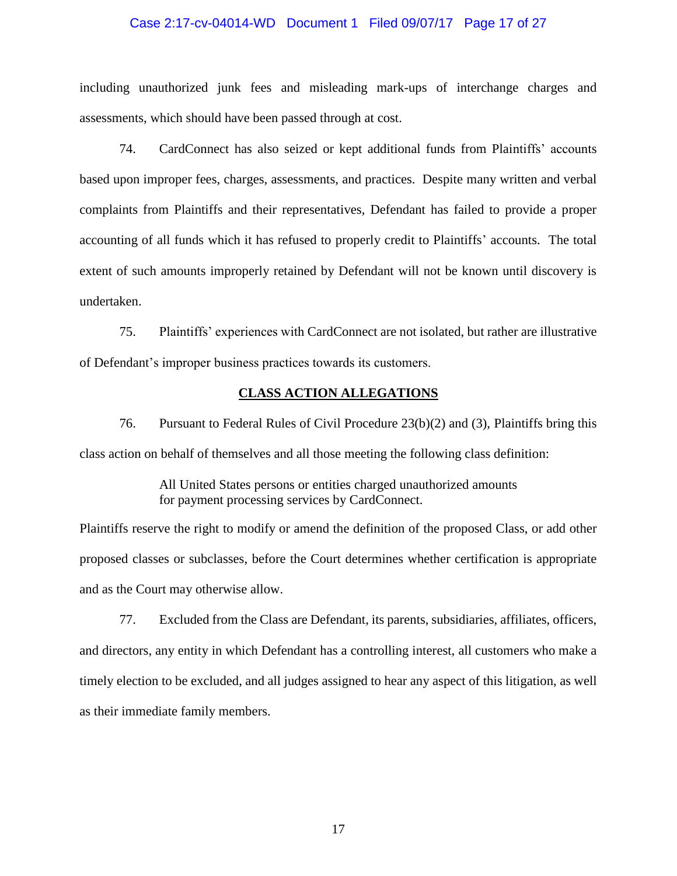## Case 2:17-cv-04014-WD Document 1 Filed 09/07/17 Page 17 of 27

including unauthorized junk fees and misleading mark-ups of interchange charges and assessments, which should have been passed through at cost.

74. CardConnect has also seized or kept additional funds from Plaintiffs' accounts based upon improper fees, charges, assessments, and practices. Despite many written and verbal complaints from Plaintiffs and their representatives, Defendant has failed to provide a proper accounting of all funds which it has refused to properly credit to Plaintiffs' accounts. The total extent of such amounts improperly retained by Defendant will not be known until discovery is undertaken.

75. Plaintiffs' experiences with CardConnect are not isolated, but rather are illustrative of Defendant's improper business practices towards its customers.

## **CLASS ACTION ALLEGATIONS**

76. Pursuant to Federal Rules of Civil Procedure 23(b)(2) and (3), Plaintiffs bring this class action on behalf of themselves and all those meeting the following class definition:

> All United States persons or entities charged unauthorized amounts for payment processing services by CardConnect.

Plaintiffs reserve the right to modify or amend the definition of the proposed Class, or add other proposed classes or subclasses, before the Court determines whether certification is appropriate and as the Court may otherwise allow.

77. Excluded from the Class are Defendant, its parents, subsidiaries, affiliates, officers, and directors, any entity in which Defendant has a controlling interest, all customers who make a timely election to be excluded, and all judges assigned to hear any aspect of this litigation, as well as their immediate family members.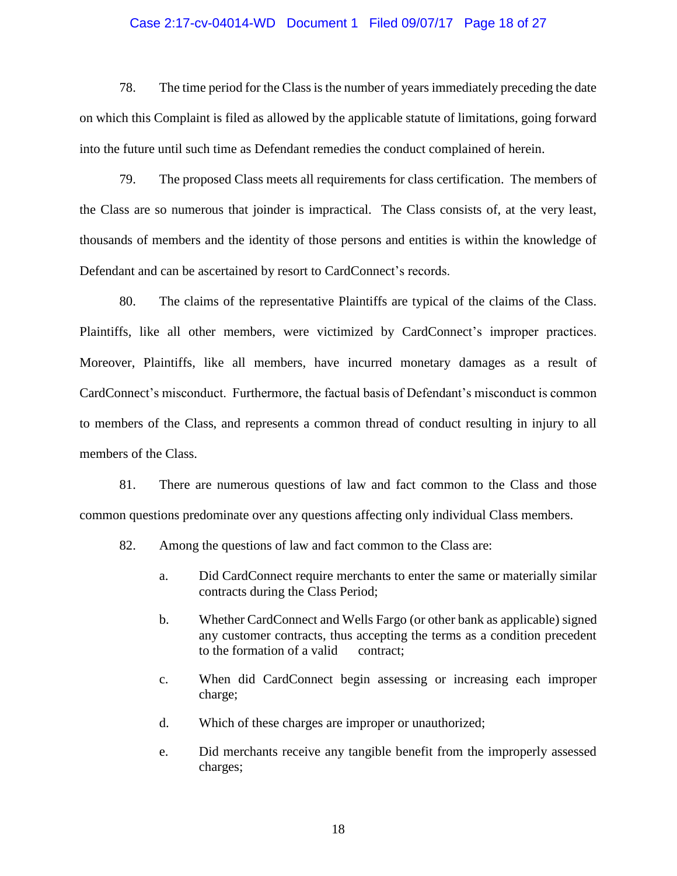## Case 2:17-cv-04014-WD Document 1 Filed 09/07/17 Page 18 of 27

78. The time period for the Class is the number of years immediately preceding the date on which this Complaint is filed as allowed by the applicable statute of limitations, going forward into the future until such time as Defendant remedies the conduct complained of herein.

79. The proposed Class meets all requirements for class certification. The members of the Class are so numerous that joinder is impractical. The Class consists of, at the very least, thousands of members and the identity of those persons and entities is within the knowledge of Defendant and can be ascertained by resort to CardConnect's records.

80. The claims of the representative Plaintiffs are typical of the claims of the Class. Plaintiffs, like all other members, were victimized by CardConnect's improper practices. Moreover, Plaintiffs, like all members, have incurred monetary damages as a result of CardConnect's misconduct. Furthermore, the factual basis of Defendant's misconduct is common to members of the Class, and represents a common thread of conduct resulting in injury to all members of the Class.

81. There are numerous questions of law and fact common to the Class and those common questions predominate over any questions affecting only individual Class members.

- 82. Among the questions of law and fact common to the Class are:
	- a. Did CardConnect require merchants to enter the same or materially similar contracts during the Class Period;
	- b. Whether CardConnect and Wells Fargo (or other bank as applicable) signed any customer contracts, thus accepting the terms as a condition precedent to the formation of a valid contract;
	- c. When did CardConnect begin assessing or increasing each improper charge;
	- d. Which of these charges are improper or unauthorized;
	- e. Did merchants receive any tangible benefit from the improperly assessed charges;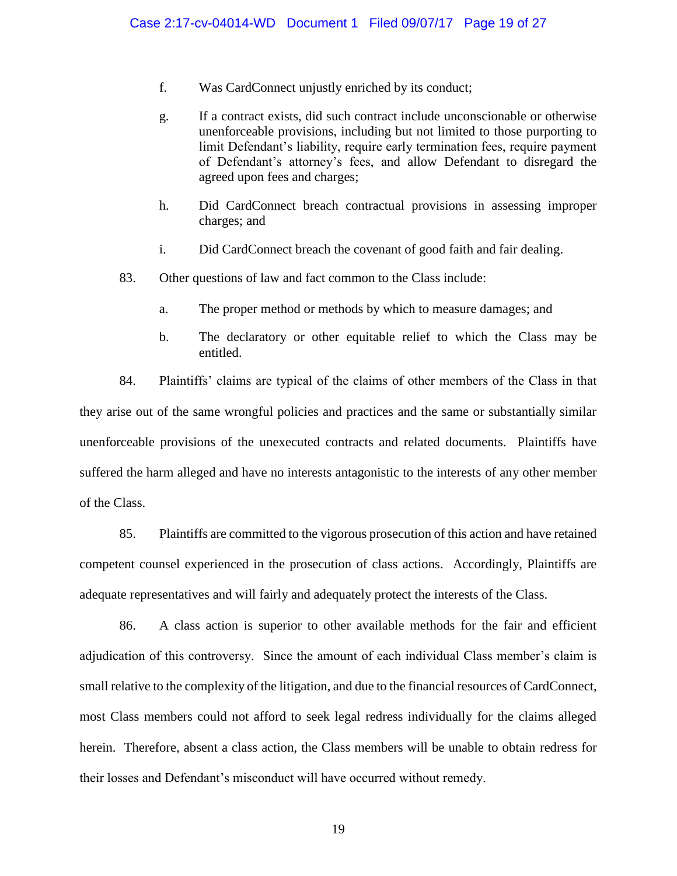- f. Was CardConnect unjustly enriched by its conduct;
- g. If a contract exists, did such contract include unconscionable or otherwise unenforceable provisions, including but not limited to those purporting to limit Defendant's liability, require early termination fees, require payment of Defendant's attorney's fees, and allow Defendant to disregard the agreed upon fees and charges;
- h. Did CardConnect breach contractual provisions in assessing improper charges; and
- i. Did CardConnect breach the covenant of good faith and fair dealing.
- 83. Other questions of law and fact common to the Class include:
	- a. The proper method or methods by which to measure damages; and
	- b. The declaratory or other equitable relief to which the Class may be entitled.

84. Plaintiffs' claims are typical of the claims of other members of the Class in that they arise out of the same wrongful policies and practices and the same or substantially similar unenforceable provisions of the unexecuted contracts and related documents. Plaintiffs have suffered the harm alleged and have no interests antagonistic to the interests of any other member of the Class.

85. Plaintiffs are committed to the vigorous prosecution of this action and have retained competent counsel experienced in the prosecution of class actions. Accordingly, Plaintiffs are adequate representatives and will fairly and adequately protect the interests of the Class.

86. A class action is superior to other available methods for the fair and efficient adjudication of this controversy. Since the amount of each individual Class member's claim is small relative to the complexity of the litigation, and due to the financial resources of CardConnect, most Class members could not afford to seek legal redress individually for the claims alleged herein. Therefore, absent a class action, the Class members will be unable to obtain redress for their losses and Defendant's misconduct will have occurred without remedy.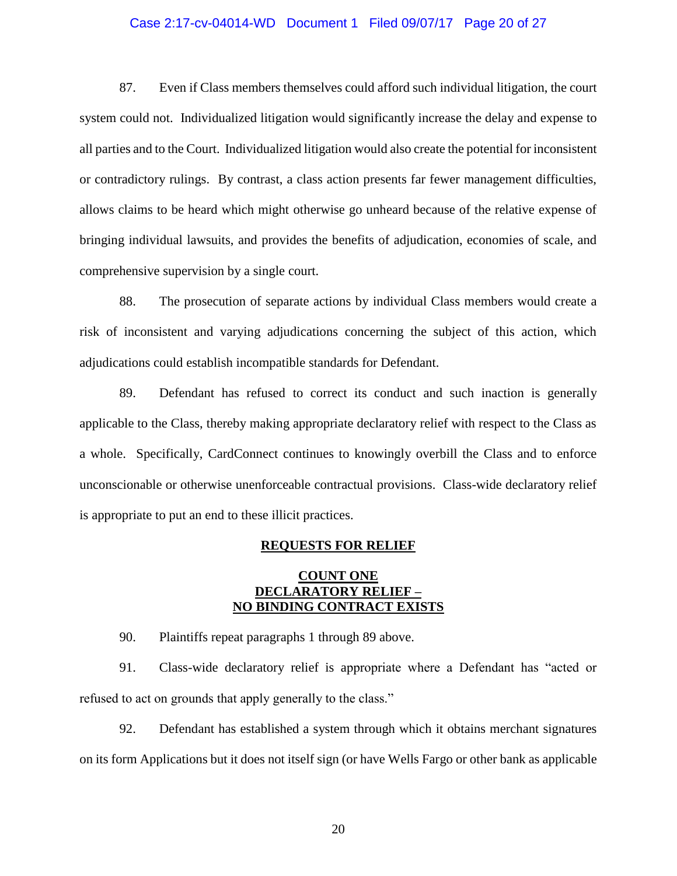## Case 2:17-cv-04014-WD Document 1 Filed 09/07/17 Page 20 of 27

87. Even if Class members themselves could afford such individual litigation, the court system could not. Individualized litigation would significantly increase the delay and expense to all parties and to the Court. Individualized litigation would also create the potential for inconsistent or contradictory rulings. By contrast, a class action presents far fewer management difficulties, allows claims to be heard which might otherwise go unheard because of the relative expense of bringing individual lawsuits, and provides the benefits of adjudication, economies of scale, and comprehensive supervision by a single court.

88. The prosecution of separate actions by individual Class members would create a risk of inconsistent and varying adjudications concerning the subject of this action, which adjudications could establish incompatible standards for Defendant.

89. Defendant has refused to correct its conduct and such inaction is generally applicable to the Class, thereby making appropriate declaratory relief with respect to the Class as a whole. Specifically, CardConnect continues to knowingly overbill the Class and to enforce unconscionable or otherwise unenforceable contractual provisions. Class-wide declaratory relief is appropriate to put an end to these illicit practices.

## **REQUESTS FOR RELIEF**

# **COUNT ONE DECLARATORY RELIEF – NO BINDING CONTRACT EXISTS**

90. Plaintiffs repeat paragraphs 1 through 89 above.

91. Class-wide declaratory relief is appropriate where a Defendant has "acted or refused to act on grounds that apply generally to the class."

92. Defendant has established a system through which it obtains merchant signatures on its form Applications but it does not itself sign (or have Wells Fargo or other bank as applicable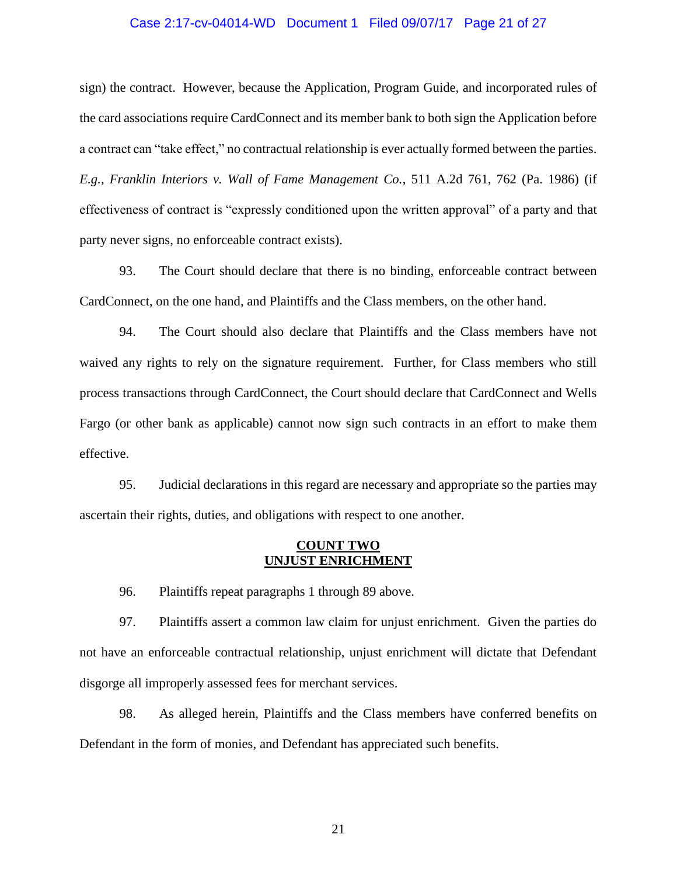## Case 2:17-cv-04014-WD Document 1 Filed 09/07/17 Page 21 of 27

sign) the contract. However, because the Application, Program Guide, and incorporated rules of the card associations require CardConnect and its member bank to both sign the Application before a contract can "take effect," no contractual relationship is ever actually formed between the parties. *E.g.*, *Franklin Interiors v. Wall of Fame Management Co.*, 511 A.2d 761, 762 (Pa. 1986) (if effectiveness of contract is "expressly conditioned upon the written approval" of a party and that party never signs, no enforceable contract exists).

93. The Court should declare that there is no binding, enforceable contract between CardConnect, on the one hand, and Plaintiffs and the Class members, on the other hand.

94. The Court should also declare that Plaintiffs and the Class members have not waived any rights to rely on the signature requirement. Further, for Class members who still process transactions through CardConnect, the Court should declare that CardConnect and Wells Fargo (or other bank as applicable) cannot now sign such contracts in an effort to make them effective.

95. Judicial declarations in this regard are necessary and appropriate so the parties may ascertain their rights, duties, and obligations with respect to one another.

## **COUNT TWO UNJUST ENRICHMENT**

96. Plaintiffs repeat paragraphs 1 through 89 above.

97. Plaintiffs assert a common law claim for unjust enrichment. Given the parties do not have an enforceable contractual relationship, unjust enrichment will dictate that Defendant disgorge all improperly assessed fees for merchant services.

98. As alleged herein, Plaintiffs and the Class members have conferred benefits on Defendant in the form of monies, and Defendant has appreciated such benefits.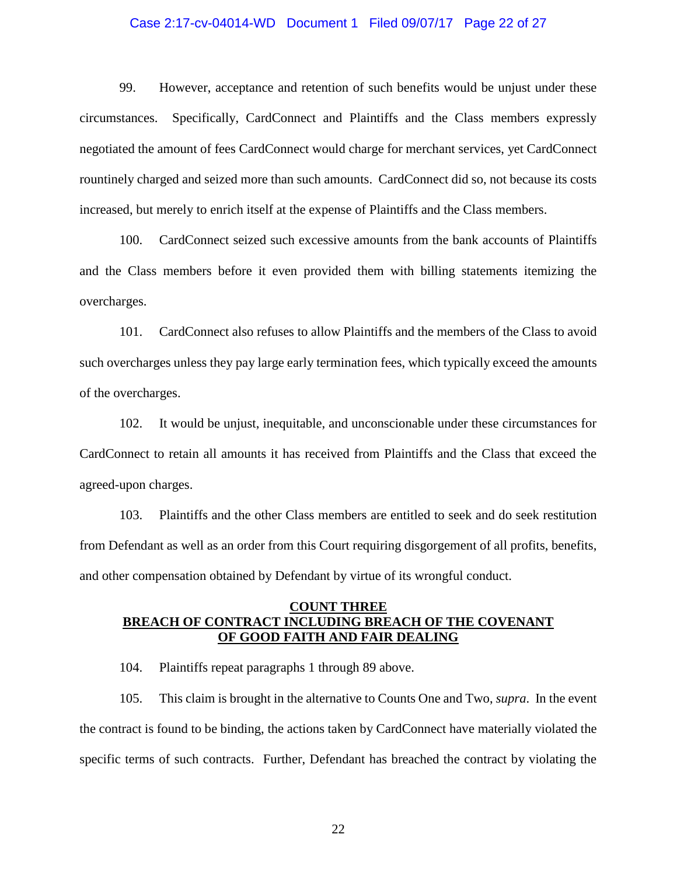## Case 2:17-cv-04014-WD Document 1 Filed 09/07/17 Page 22 of 27

99. However, acceptance and retention of such benefits would be unjust under these circumstances. Specifically, CardConnect and Plaintiffs and the Class members expressly negotiated the amount of fees CardConnect would charge for merchant services, yet CardConnect rountinely charged and seized more than such amounts. CardConnect did so, not because its costs increased, but merely to enrich itself at the expense of Plaintiffs and the Class members.

100. CardConnect seized such excessive amounts from the bank accounts of Plaintiffs and the Class members before it even provided them with billing statements itemizing the overcharges.

101. CardConnect also refuses to allow Plaintiffs and the members of the Class to avoid such overcharges unless they pay large early termination fees, which typically exceed the amounts of the overcharges.

102. It would be unjust, inequitable, and unconscionable under these circumstances for CardConnect to retain all amounts it has received from Plaintiffs and the Class that exceed the agreed-upon charges.

103. Plaintiffs and the other Class members are entitled to seek and do seek restitution from Defendant as well as an order from this Court requiring disgorgement of all profits, benefits, and other compensation obtained by Defendant by virtue of its wrongful conduct.

## **COUNT THREE BREACH OF CONTRACT INCLUDING BREACH OF THE COVENANT OF GOOD FAITH AND FAIR DEALING**

104. Plaintiffs repeat paragraphs 1 through 89 above.

105. This claim is brought in the alternative to Counts One and Two, *supra*. In the event the contract is found to be binding, the actions taken by CardConnect have materially violated the specific terms of such contracts. Further, Defendant has breached the contract by violating the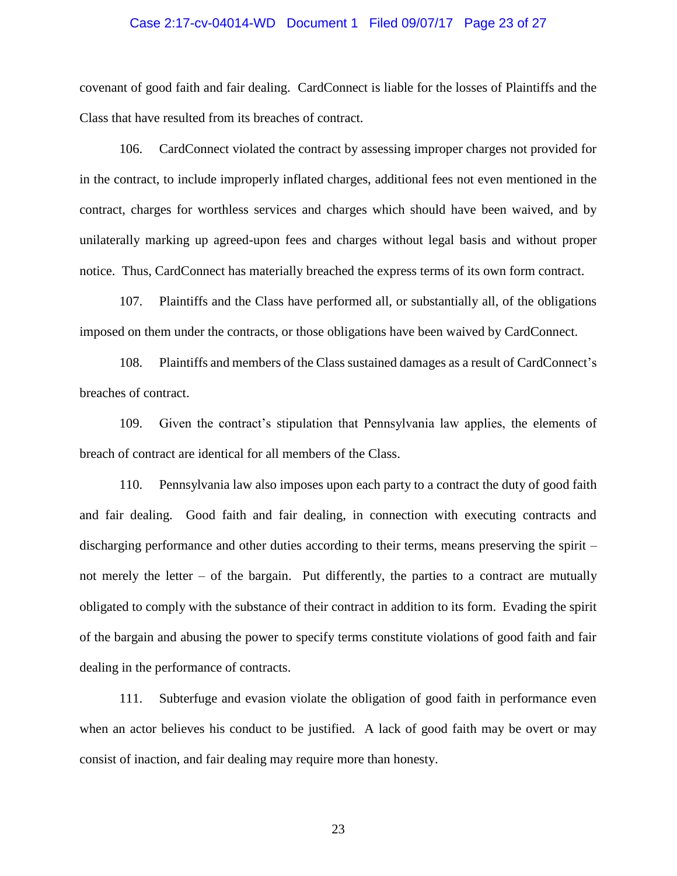### Case 2:17-cv-04014-WD Document 1 Filed 09/07/17 Page 23 of 27

covenant of good faith and fair dealing. CardConnect is liable for the losses of Plaintiffs and the Class that have resulted from its breaches of contract.

106. CardConnect violated the contract by assessing improper charges not provided for in the contract, to include improperly inflated charges, additional fees not even mentioned in the contract, charges for worthless services and charges which should have been waived, and by unilaterally marking up agreed-upon fees and charges without legal basis and without proper notice. Thus, CardConnect has materially breached the express terms of its own form contract.

107. Plaintiffs and the Class have performed all, or substantially all, of the obligations imposed on them under the contracts, or those obligations have been waived by CardConnect.

108. Plaintiffs and members of the Class sustained damages as a result of CardConnect's breaches of contract.

109. Given the contract's stipulation that Pennsylvania law applies, the elements of breach of contract are identical for all members of the Class.

110. Pennsylvania law also imposes upon each party to a contract the duty of good faith and fair dealing. Good faith and fair dealing, in connection with executing contracts and discharging performance and other duties according to their terms, means preserving the spirit – not merely the letter – of the bargain. Put differently, the parties to a contract are mutually obligated to comply with the substance of their contract in addition to its form. Evading the spirit of the bargain and abusing the power to specify terms constitute violations of good faith and fair dealing in the performance of contracts.

111. Subterfuge and evasion violate the obligation of good faith in performance even when an actor believes his conduct to be justified. A lack of good faith may be overt or may consist of inaction, and fair dealing may require more than honesty.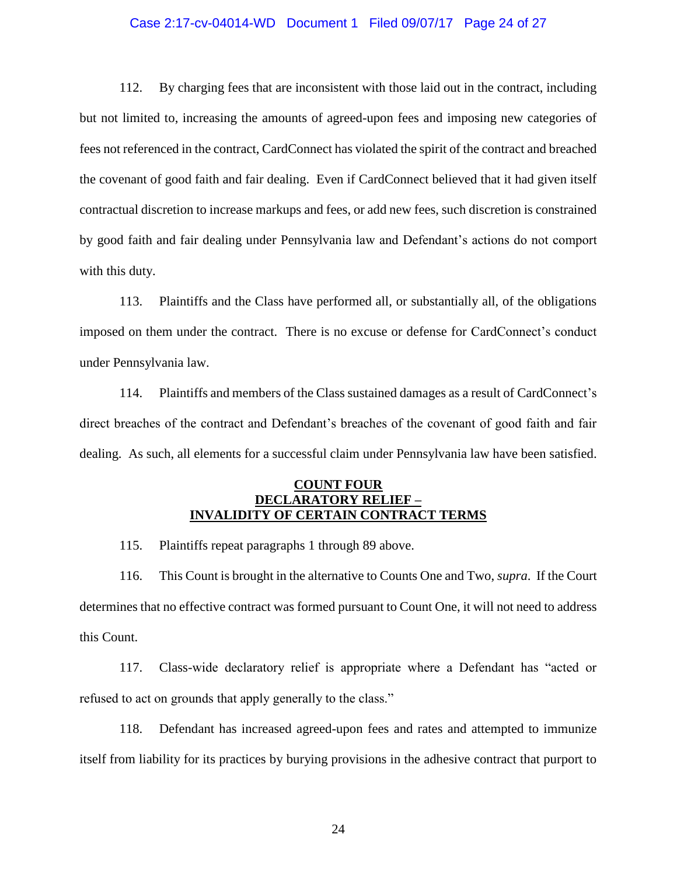## Case 2:17-cv-04014-WD Document 1 Filed 09/07/17 Page 24 of 27

112. By charging fees that are inconsistent with those laid out in the contract, including but not limited to, increasing the amounts of agreed-upon fees and imposing new categories of fees not referenced in the contract, CardConnect has violated the spirit of the contract and breached the covenant of good faith and fair dealing. Even if CardConnect believed that it had given itself contractual discretion to increase markups and fees, or add new fees, such discretion is constrained by good faith and fair dealing under Pennsylvania law and Defendant's actions do not comport with this duty.

113. Plaintiffs and the Class have performed all, or substantially all, of the obligations imposed on them under the contract. There is no excuse or defense for CardConnect's conduct under Pennsylvania law.

114. Plaintiffs and members of the Class sustained damages as a result of CardConnect's direct breaches of the contract and Defendant's breaches of the covenant of good faith and fair dealing. As such, all elements for a successful claim under Pennsylvania law have been satisfied.

## **COUNT FOUR DECLARATORY RELIEF – INVALIDITY OF CERTAIN CONTRACT TERMS**

115. Plaintiffs repeat paragraphs 1 through 89 above.

116. This Count is brought in the alternative to Counts One and Two, *supra*. If the Court determines that no effective contract was formed pursuant to Count One, it will not need to address this Count.

117. Class-wide declaratory relief is appropriate where a Defendant has "acted or refused to act on grounds that apply generally to the class."

118. Defendant has increased agreed-upon fees and rates and attempted to immunize itself from liability for its practices by burying provisions in the adhesive contract that purport to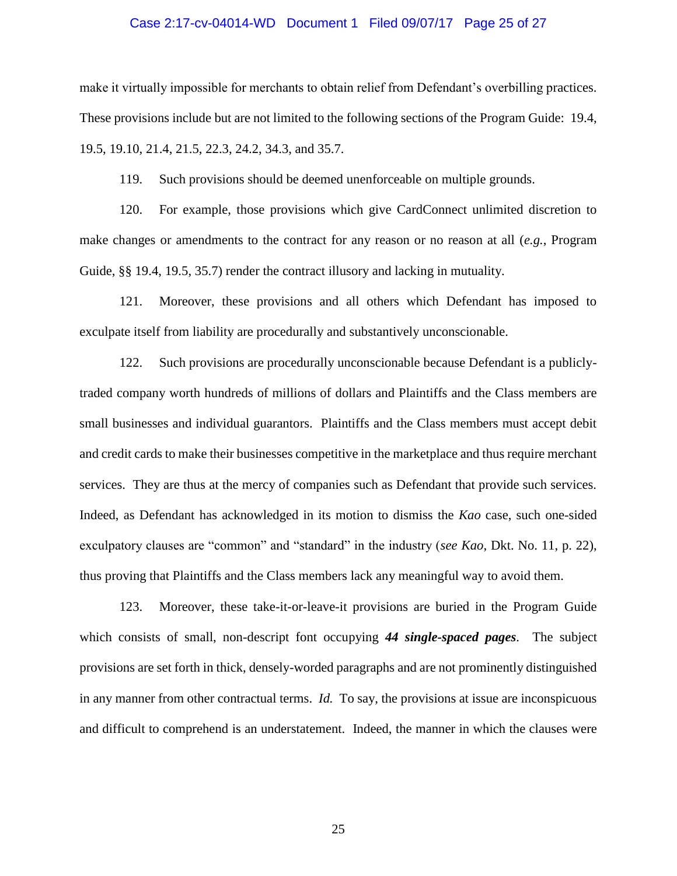#### Case 2:17-cv-04014-WD Document 1 Filed 09/07/17 Page 25 of 27

make it virtually impossible for merchants to obtain relief from Defendant's overbilling practices. These provisions include but are not limited to the following sections of the Program Guide: 19.4, 19.5, 19.10, 21.4, 21.5, 22.3, 24.2, 34.3, and 35.7.

119. Such provisions should be deemed unenforceable on multiple grounds.

120. For example, those provisions which give CardConnect unlimited discretion to make changes or amendments to the contract for any reason or no reason at all (*e.g.*, Program Guide, §§ 19.4, 19.5, 35.7) render the contract illusory and lacking in mutuality.

121. Moreover, these provisions and all others which Defendant has imposed to exculpate itself from liability are procedurally and substantively unconscionable.

122. Such provisions are procedurally unconscionable because Defendant is a publiclytraded company worth hundreds of millions of dollars and Plaintiffs and the Class members are small businesses and individual guarantors. Plaintiffs and the Class members must accept debit and credit cards to make their businesses competitive in the marketplace and thus require merchant services. They are thus at the mercy of companies such as Defendant that provide such services. Indeed, as Defendant has acknowledged in its motion to dismiss the *Kao* case, such one-sided exculpatory clauses are "common" and "standard" in the industry (*see Kao*, Dkt. No. 11, p. 22), thus proving that Plaintiffs and the Class members lack any meaningful way to avoid them.

123. Moreover, these take-it-or-leave-it provisions are buried in the Program Guide which consists of small, non-descript font occupying *44 single-spaced pages*. The subject provisions are set forth in thick, densely-worded paragraphs and are not prominently distinguished in any manner from other contractual terms. *Id.* To say, the provisions at issue are inconspicuous and difficult to comprehend is an understatement. Indeed, the manner in which the clauses were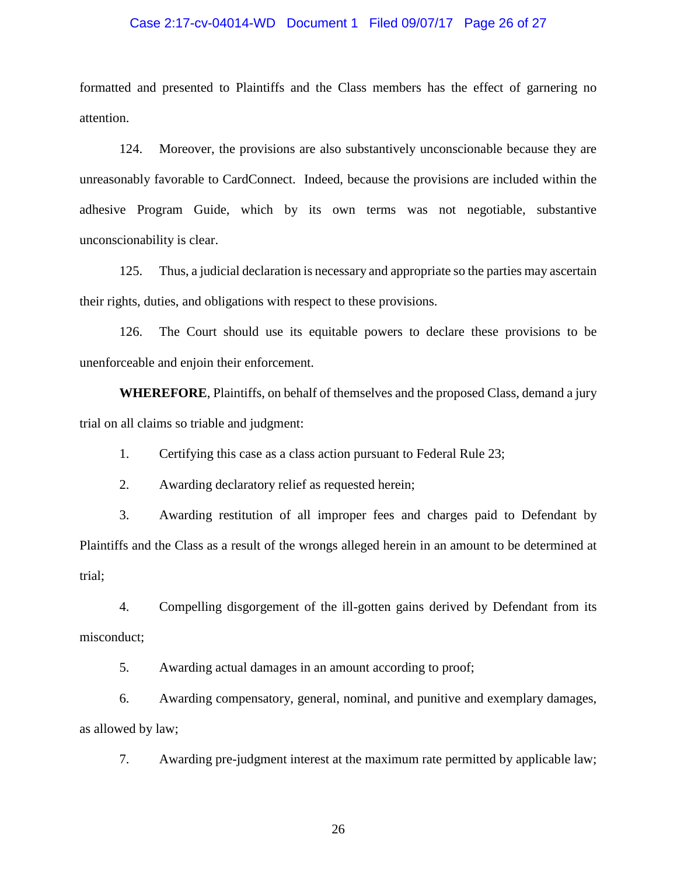## Case 2:17-cv-04014-WD Document 1 Filed 09/07/17 Page 26 of 27

formatted and presented to Plaintiffs and the Class members has the effect of garnering no attention.

124. Moreover, the provisions are also substantively unconscionable because they are unreasonably favorable to CardConnect. Indeed, because the provisions are included within the adhesive Program Guide, which by its own terms was not negotiable, substantive unconscionability is clear.

125. Thus, a judicial declaration is necessary and appropriate so the parties may ascertain their rights, duties, and obligations with respect to these provisions.

126. The Court should use its equitable powers to declare these provisions to be unenforceable and enjoin their enforcement.

**WHEREFORE**, Plaintiffs, on behalf of themselves and the proposed Class, demand a jury trial on all claims so triable and judgment:

1. Certifying this case as a class action pursuant to Federal Rule 23;

2. Awarding declaratory relief as requested herein;

3. Awarding restitution of all improper fees and charges paid to Defendant by Plaintiffs and the Class as a result of the wrongs alleged herein in an amount to be determined at trial;

4. Compelling disgorgement of the ill-gotten gains derived by Defendant from its misconduct;

5. Awarding actual damages in an amount according to proof;

6. Awarding compensatory, general, nominal, and punitive and exemplary damages, as allowed by law;

7. Awarding pre-judgment interest at the maximum rate permitted by applicable law;